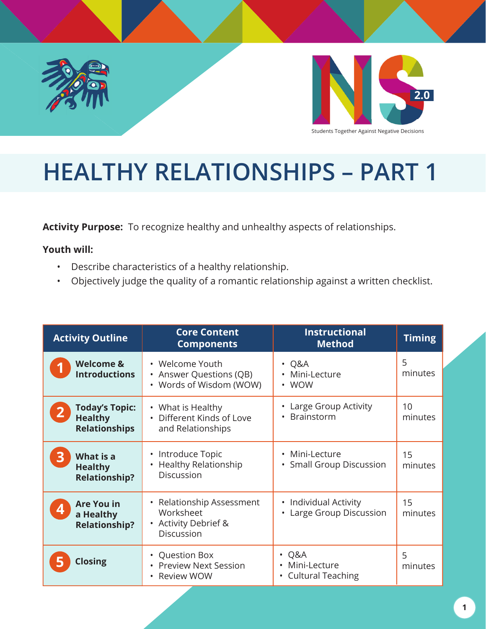



## **HEALTHY RELATIONSHIPS – PART 1**

**Activity Purpose:** To recognize healthy and unhealthy aspects of relationships.

#### **Youth will:**

- Describe characteristics of a healthy relationship.
- Objectively judge the quality of a romantic relationship against a written checklist.

| <b>Activity Outline</b>                                         | <b>Core Content</b><br><b>Components</b>                                                                       | <b>Instructional</b><br><b>Method</b>                             | <b>Timing</b> |
|-----------------------------------------------------------------|----------------------------------------------------------------------------------------------------------------|-------------------------------------------------------------------|---------------|
| <b>Welcome &amp;</b><br><b>Introductions</b>                    | • Welcome Youth<br>• Answer Questions (QB)<br>• Words of Wisdom (WOW)                                          | $\cdot$ Q&A<br>Mini-Lecture<br>• WOW                              | 5<br>minutes  |
| <b>Today's Topic:</b><br><b>Healthy</b><br><b>Relationships</b> | • What is Healthy<br>Different Kinds of Love<br>and Relationships                                              | Large Group Activity<br>Brainstorm                                | 10<br>minutes |
| What is a<br><b>Healthy</b><br><b>Relationship?</b>             | Introduce Topic<br>$\bullet$<br><b>Healthy Relationship</b><br><b>Discussion</b>                               | Mini-Lecture<br><b>Small Group Discussion</b>                     | 15<br>minutes |
| <b>Are You in</b><br>a Healthy<br><b>Relationship?</b>          | Relationship Assessment<br>$\bullet$<br>Worksheet<br><b>Activity Debrief &amp;</b><br>$\bullet$<br>Discussion  | • Individual Activity<br>• Large Group Discussion                 | 15<br>minutes |
| <b>Closing</b>                                                  | <b>Question Box</b><br>$\bullet$<br><b>Preview Next Session</b><br>$\bullet$<br><b>Review WOW</b><br>$\bullet$ | Q&A<br>$\bullet$<br>Mini-Lecture<br><b>Cultural Teaching</b><br>٠ | 5<br>minutes  |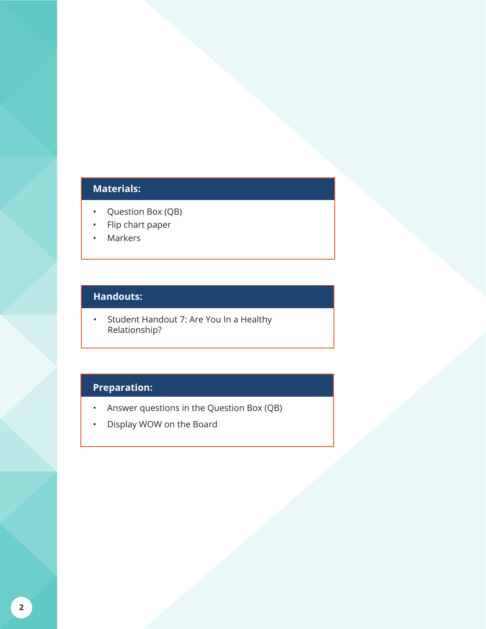#### **Materials:**

- Question Box (QB)
- Flip chart paper
- Markers

#### **Handouts:**

• Student Handout 7: Are You In a Healthy Relationship?

#### **Preparation:**

- Answer questions in the Question Box (QB)
- Display WOW on the Board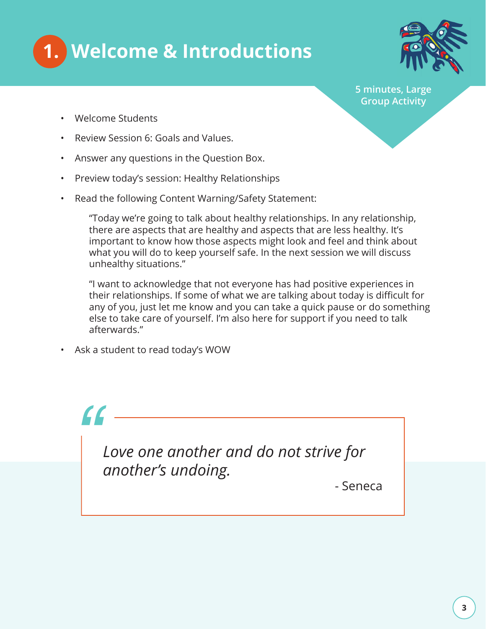



**5 minutes, Large Group Activity**

- Welcome Students
- Review Session 6: Goals and Values.
- Answer any questions in the Question Box.
- Preview today's session: Healthy Relationships
- Read the following Content Warning/Safety Statement:

"Today we're going to talk about healthy relationships. In any relationship, there are aspects that are healthy and aspects that are less healthy. It's important to know how those aspects might look and feel and think about what you will do to keep yourself safe. In the next session we will discuss unhealthy situations."

"I want to acknowledge that not everyone has had positive experiences in their relationships. If some of what we are talking about today is difficult for any of you, just let me know and you can take a quick pause or do something else to take care of yourself. I'm also here for support if you need to talk afterwards."

• Ask a student to read today's WOW

# *"*

*Love one another and do not strive for another's undoing.* 

- Seneca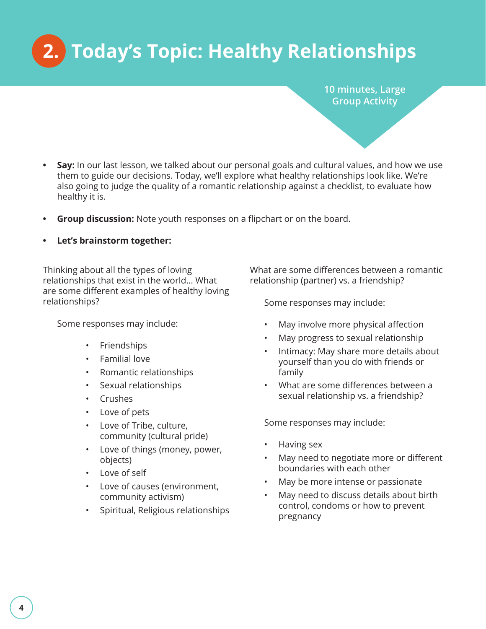## **2. Today's Topic: Healthy Relationships**

**10 minutes, Large Group Activity** 

- **• Say:** In our last lesson, we talked about our personal goals and cultural values, and how we use them to guide our decisions. Today, we'll explore what healthy relationships look like. We're also going to judge the quality of a romantic relationship against a checklist, to evaluate how healthy it is.
- **• Group discussion:** Note youth responses on a flipchart or on the board.
- **• Let's brainstorm together:**

Thinking about all the types of loving relationships that exist in the world… What are some different examples of healthy loving relationships?

Some responses may include:

- Friendships
- Familial love
- Romantic relationships
- Sexual relationships
- Crushes
- Love of pets
- Love of Tribe, culture, community (cultural pride)
- Love of things (money, power, objects)
- Love of self
- Love of causes (environment, community activism)
- Spiritual, Religious relationships

What are some differences between a romantic relationship (partner) vs. a friendship?

Some responses may include:

- May involve more physical affection
- May progress to sexual relationship
- Intimacy: May share more details about yourself than you do with friends or family
- What are some differences between a sexual relationship vs. a friendship?

Some responses may include:

- Having sex
- May need to negotiate more or different boundaries with each other
- May be more intense or passionate
- May need to discuss details about birth control, condoms or how to prevent pregnancy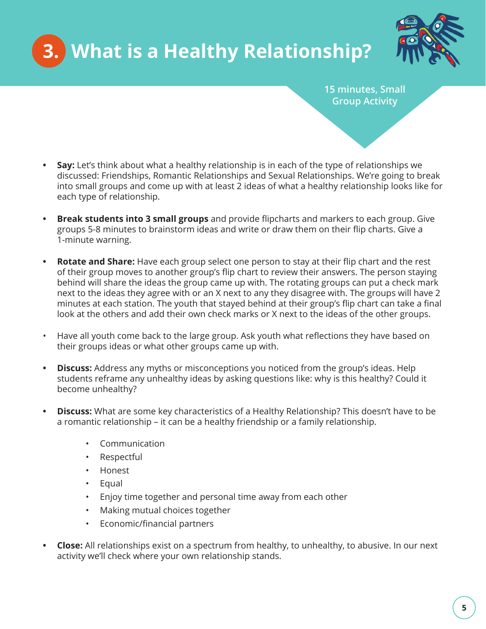



**15 minutes, Small Group Activity** 

- **Say:** Let's think about what a healthy relationship is in each of the type of relationships we discussed: Friendships, Romantic Relationships and Sexual Relationships. We're going to break into small groups and come up with at least 2 ideas of what a healthy relationship looks like for each type of relationship.
- **Break students into 3 small groups** and provide flipcharts and markers to each group. Give groups 5-8 minutes to brainstorm ideas and write or draw them on their flip charts. Give a 1-minute warning.
- Rotate and Share: Have each group select one person to stay at their flip chart and the rest of their group moves to another group's flip chart to review their answers. The person staying behind will share the ideas the group came up with. The rotating groups can put a check mark next to the ideas they agree with or an X next to any they disagree with. The groups will have 2 minutes at each station. The youth that stayed behind at their group's flip chart can take a final look at the others and add their own check marks or X next to the ideas of the other groups.
- Have all youth come back to the large group. Ask youth what reflections they have based on their groups ideas or what other groups came up with.
- **Discuss:** Address any myths or misconceptions you noticed from the group's ideas. Help students reframe any unhealthy ideas by asking questions like: why is this healthy? Could it become unhealthy?
- **Discuss:** What are some key characteristics of a Healthy Relationship? This doesn't have to be a romantic relationship – it can be a healthy friendship or a family relationship.
	- Communication
	- Respectful
	- Honest
	- Equal
	- Enjoy time together and personal time away from each other
	- Making mutual choices together
	- Economic/financial partners
- **Close:** All relationships exist on a spectrum from healthy, to unhealthy, to abusive. In our next activity we'll check where your own relationship stands.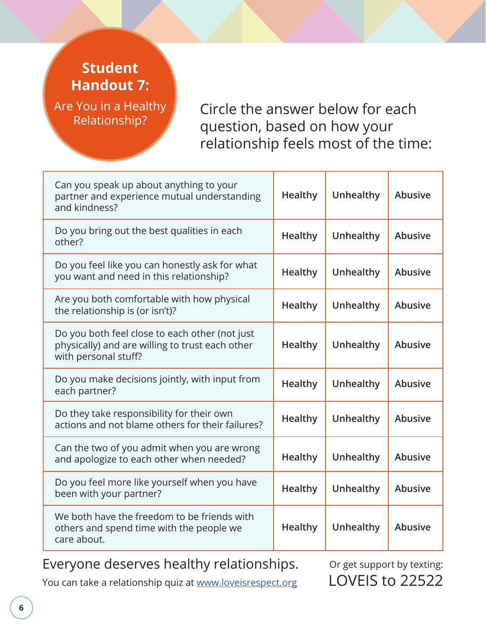### **Student Handout 7:**

Are You in a Healthy Relationship?

Circle the answer below for each question, based on how your relationship feels most of the time:

| Can you speak up about anything to your<br>partner and experience mutual understanding<br>and kindness?                   | Healthy        | Unhealthy | <b>Abusive</b> |
|---------------------------------------------------------------------------------------------------------------------------|----------------|-----------|----------------|
| Do you bring out the best qualities in each<br>other?                                                                     | <b>Healthy</b> | Unhealthy | Abusive        |
| Do you feel like you can honestly ask for what<br>you want and need in this relationship?                                 | <b>Healthy</b> | Unhealthy | Abusive        |
| Are you both comfortable with how physical<br>the relationship is (or isn't)?                                             | <b>Healthy</b> | Unhealthy | <b>Abusive</b> |
| Do you both feel close to each other (not just<br>physically) and are willing to trust each other<br>with personal stuff? | <b>Healthy</b> | Unhealthy | <b>Abusive</b> |
| Do you make decisions jointly, with input from<br>each partner?                                                           | Healthy        | Unhealthy | <b>Abusive</b> |
| Do they take responsibility for their own<br>actions and not blame others for their failures?                             | <b>Healthy</b> | Unhealthy | <b>Abusive</b> |
| Can the two of you admit when you are wrong<br>and apologize to each other when needed?                                   | Healthy        | Unhealthy | <b>Abusive</b> |
| Do you feel more like yourself when you have<br>been with your partner?                                                   | <b>Healthy</b> | Unhealthy | <b>Abusive</b> |
| We both have the freedom to be friends with<br>others and spend time with the people we<br>care about.                    | Healthy        | Unhealthy | <b>Abusive</b> |

Everyone deserves healthy relationships.

Or get support by texting: LOVEIS to 22522

You can take a relationship quiz at www.loveisrespect.org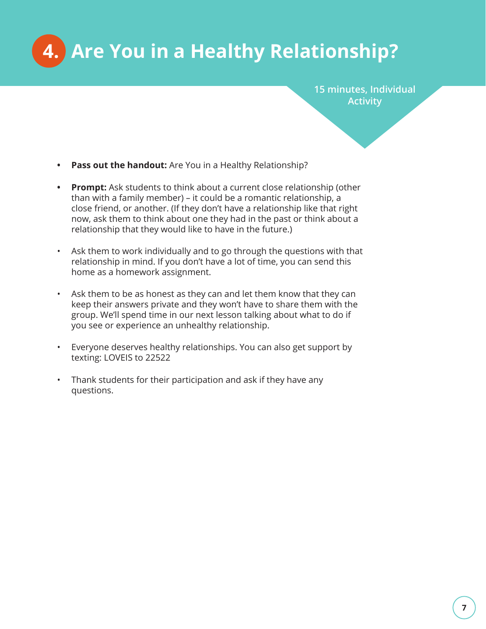**4. Are You in a Healthy Relationship?**

**15 minutes, Individual Activity** 

- **• Pass out the handout:** Are You in a Healthy Relationship?
- **• Prompt:** Ask students to think about a current close relationship (other than with a family member) – it could be a romantic relationship, a close friend, or another. (If they don't have a relationship like that right now, ask them to think about one they had in the past or think about a relationship that they would like to have in the future.)
- Ask them to work individually and to go through the questions with that relationship in mind. If you don't have a lot of time, you can send this home as a homework assignment.
- Ask them to be as honest as they can and let them know that they can keep their answers private and they won't have to share them with the group. We'll spend time in our next lesson talking about what to do if you see or experience an unhealthy relationship.
- Everyone deserves healthy relationships. You can also get support by texting: LOVEIS to 22522
- Thank students for their participation and ask if they have any questions.